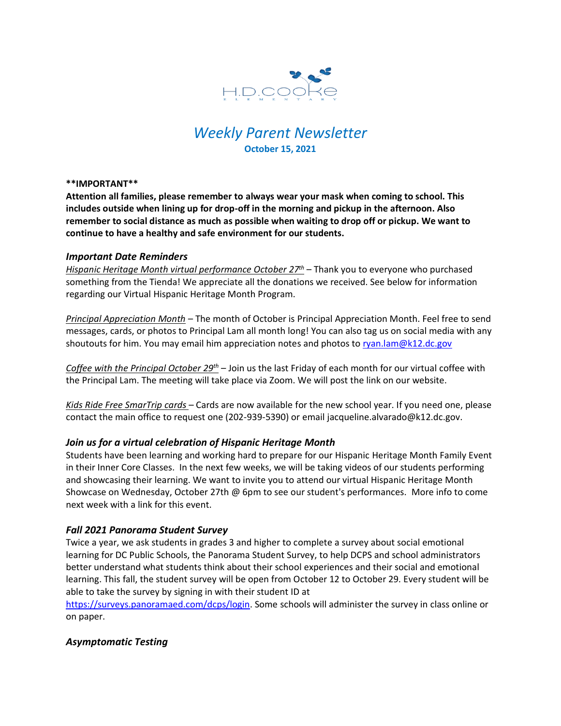

# *Weekly Parent Newsletter* **October 15, 2021**

#### **\*\*IMPORTANT\*\***

**Attention all families, please remember to always wear your mask when coming to school. This includes outside when lining up for drop-off in the morning and pickup in the afternoon. Also remember to social distance as much as possible when waiting to drop off or pickup. We want to continue to have a healthy and safe environment for our students.** 

### *Important Date Reminders*

*Hispanic Heritage Month virtual performance October 27th* – Thank you to everyone who purchased something from the Tienda! We appreciate all the donations we received. See below for information regarding our Virtual Hispanic Heritage Month Program.

*Principal Appreciation Month* – The month of October is Principal Appreciation Month. Feel free to send messages, cards, or photos to Principal Lam all month long! You can also tag us on social media with any shoutouts for him. You may email him appreciation notes and photos to [ryan.lam@k12.dc.gov](mailto:ryan.lam@k12.dc.gov)

*Coffee with the Principal October 29th* – Join us the last Friday of each month for our virtual coffee with the Principal Lam. The meeting will take place via Zoom. We will post the link on our website.

*Kids Ride Free SmarTrip cards* – Cards are now available for the new school year. If you need one, please contact the main office to request one (202-939-5390) or email jacqueline.alvarado@k12.dc.gov.

## *Join us for a virtual celebration of Hispanic Heritage Month*

Students have been learning and working hard to prepare for our Hispanic Heritage Month Family Event in their Inner Core Classes. In the next few weeks, we will be taking videos of our students performing and showcasing their learning. We want to invite you to attend our virtual Hispanic Heritage Month Showcase on Wednesday, October 27th @ 6pm to see our student's performances. More info to come next week with a link for this event.

## *Fall 2021 Panorama Student Survey*

Twice a year, we ask students in grades 3 and higher to complete a survey about social emotional learning for DC Public Schools, the Panorama Student Survey, to help DCPS and school administrators better understand what students think about their school experiences and their social and emotional learning. This fall, the student survey will be open from October 12 to October 29. Every student will be able to take the survey by signing in with their student ID at

[https://surveys.panoramaed.com/dcps/login.](https://surveys.panoramaed.com/dcps/login) Some schools will administer the survey in class online or on paper.

## *Asymptomatic Testing*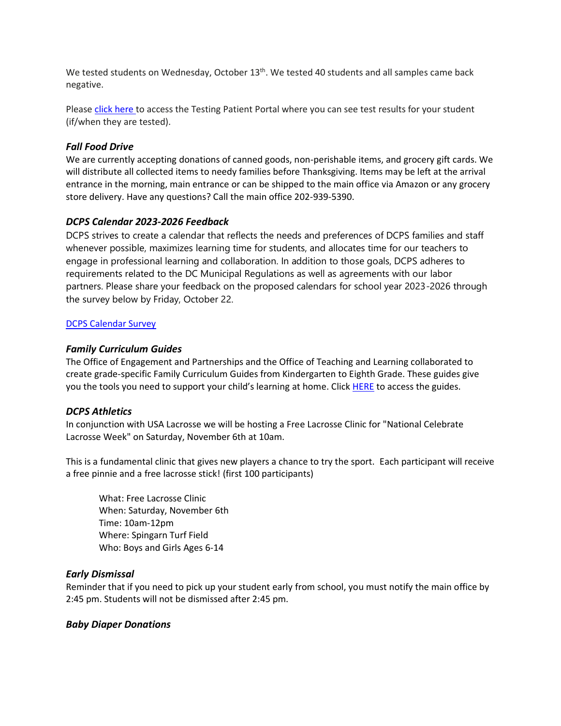We tested students on Wednesday, October 13<sup>th</sup>. We tested 40 students and all samples came back negative.

Please click [here](https://shieldt3k12portal.pointnclick.com/login_login.aspx) to access the Testing Patient Portal where you can see test results for your student (if/when they are tested).

## *Fall Food Drive*

We are currently accepting donations of canned goods, non-perishable items, and grocery gift cards. We will distribute all collected items to needy families before Thanksgiving. Items may be left at the arrival entrance in the morning, main entrance or can be shipped to the main office via Amazon or any grocery store delivery. Have any questions? Call the main office 202-939-5390.

# *DCPS Calendar 2023-2026 Feedback*

DCPS strives to create a calendar that reflects the needs and preferences of DCPS families and staff whenever possible, maximizes learning time for students, and allocates time for our teachers to engage in professional learning and collaboration. In addition to those goals, DCPS adheres to requirements related to the DC Municipal Regulations as well as agreements with our labor partners. Please share your feedback on the proposed calendars for school year 2023-2026 through the survey below by Friday, October 22.

### [DCPS Calendar Survey](https://publicinput.com/dcpscalendars2326)

### *Family Curriculum Guides*

The Office of Engagement and Partnerships and the Office of Teaching and Learning collaborated to create grade-specific Family Curriculum Guides from Kindergarten to Eighth Grade. These guides give you the tools you need to support your child's learning at home. Clic[k HERE](https://dcps.dc.gov/publication/parent-curriculum-guides) to access the guides.

### *DCPS Athletics*

In conjunction with USA Lacrosse we will be hosting a Free Lacrosse Clinic for "National Celebrate Lacrosse Week" on Saturday, November 6th at 10am.

This is a fundamental clinic that gives new players a chance to try the sport. Each participant will receive a free pinnie and a free lacrosse stick! (first 100 participants)

What: Free Lacrosse Clinic When: Saturday, November 6th Time: 10am-12pm Where: Spingarn Turf Field Who: Boys and Girls Ages 6-14

### *Early Dismissal*

Reminder that if you need to pick up your student early from school, you must notify the main office by 2:45 pm. Students will not be dismissed after 2:45 pm.

### *Baby Diaper Donations*